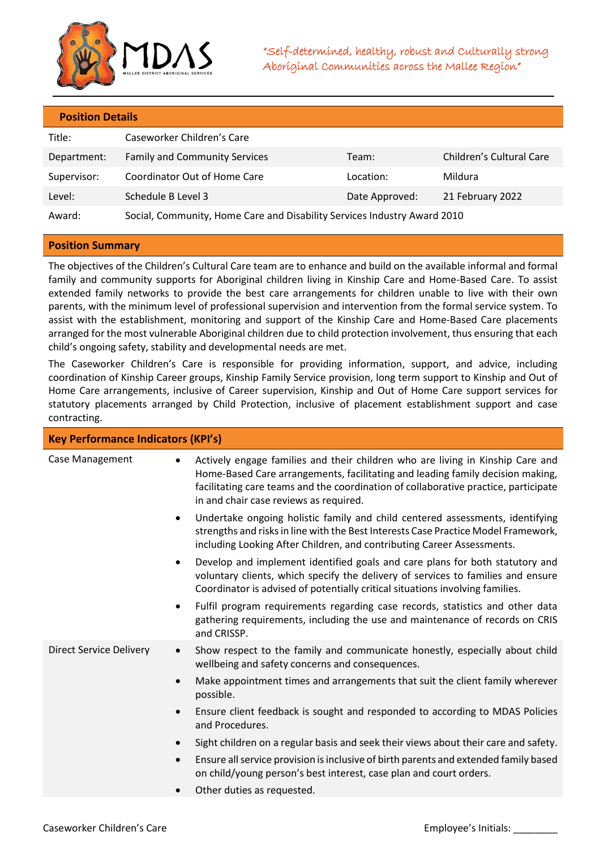

## **Position Details**

| Title:      | Caseworker Children's Care                                               |                |                          |
|-------------|--------------------------------------------------------------------------|----------------|--------------------------|
| Department: | <b>Family and Community Services</b>                                     | Team:          | Children's Cultural Care |
| Supervisor: | Coordinator Out of Home Care                                             | Location:      | Mildura                  |
| Level:      | Schedule B Level 3                                                       | Date Approved: | 21 February 2022         |
| Award:      | Social, Community, Home Care and Disability Services Industry Award 2010 |                |                          |

## **Position Summary**

The objectives of the Children's Cultural Care team are to enhance and build on the available informal and formal family and community supports for Aboriginal children living in Kinship Care and Home-Based Care. To assist extended family networks to provide the best care arrangements for children unable to live with their own parents, with the minimum level of professional supervision and intervention from the formal service system. To assist with the establishment, monitoring and support of the Kinship Care and Home-Based Care placements arranged for the most vulnerable Aboriginal children due to child protection involvement, thus ensuring that each child's ongoing safety, stability and developmental needs are met.

The Caseworker Children's Care is responsible for providing information, support, and advice, including coordination of Kinship Career groups, Kinship Family Service provision, long term support to Kinship and Out of Home Care arrangements, inclusive of Career supervision, Kinship and Out of Home Care support services for statutory placements arranged by Child Protection, inclusive of placement establishment support and case contracting.

| <b>Key Performance Indicators (KPI's)</b> |                                                                                                                                                                                                                                                                                                   |  |  |
|-------------------------------------------|---------------------------------------------------------------------------------------------------------------------------------------------------------------------------------------------------------------------------------------------------------------------------------------------------|--|--|
| Case Management                           | Actively engage families and their children who are living in Kinship Care and<br>Home-Based Care arrangements, facilitating and leading family decision making,<br>facilitating care teams and the coordination of collaborative practice, participate<br>in and chair case reviews as required. |  |  |
|                                           | Undertake ongoing holistic family and child centered assessments, identifying<br>٠<br>strengths and risks in line with the Best Interests Case Practice Model Framework,<br>including Looking After Children, and contributing Career Assessments.                                                |  |  |
|                                           | Develop and implement identified goals and care plans for both statutory and<br>٠<br>voluntary clients, which specify the delivery of services to families and ensure<br>Coordinator is advised of potentially critical situations involving families.                                            |  |  |
|                                           | Fulfil program requirements regarding case records, statistics and other data<br>٠<br>gathering requirements, including the use and maintenance of records on CRIS<br>and CRISSP.                                                                                                                 |  |  |
| <b>Direct Service Delivery</b>            | Show respect to the family and communicate honestly, especially about child<br>$\bullet$<br>wellbeing and safety concerns and consequences.                                                                                                                                                       |  |  |
|                                           | Make appointment times and arrangements that suit the client family wherever<br>$\bullet$<br>possible.                                                                                                                                                                                            |  |  |
|                                           | Ensure client feedback is sought and responded to according to MDAS Policies<br>$\bullet$<br>and Procedures.                                                                                                                                                                                      |  |  |
|                                           | Sight children on a regular basis and seek their views about their care and safety.<br>$\bullet$                                                                                                                                                                                                  |  |  |
|                                           | Ensure all service provision is inclusive of birth parents and extended family based<br>$\bullet$<br>on child/young person's best interest, case plan and court orders.                                                                                                                           |  |  |
|                                           | Other duties as requested.                                                                                                                                                                                                                                                                        |  |  |